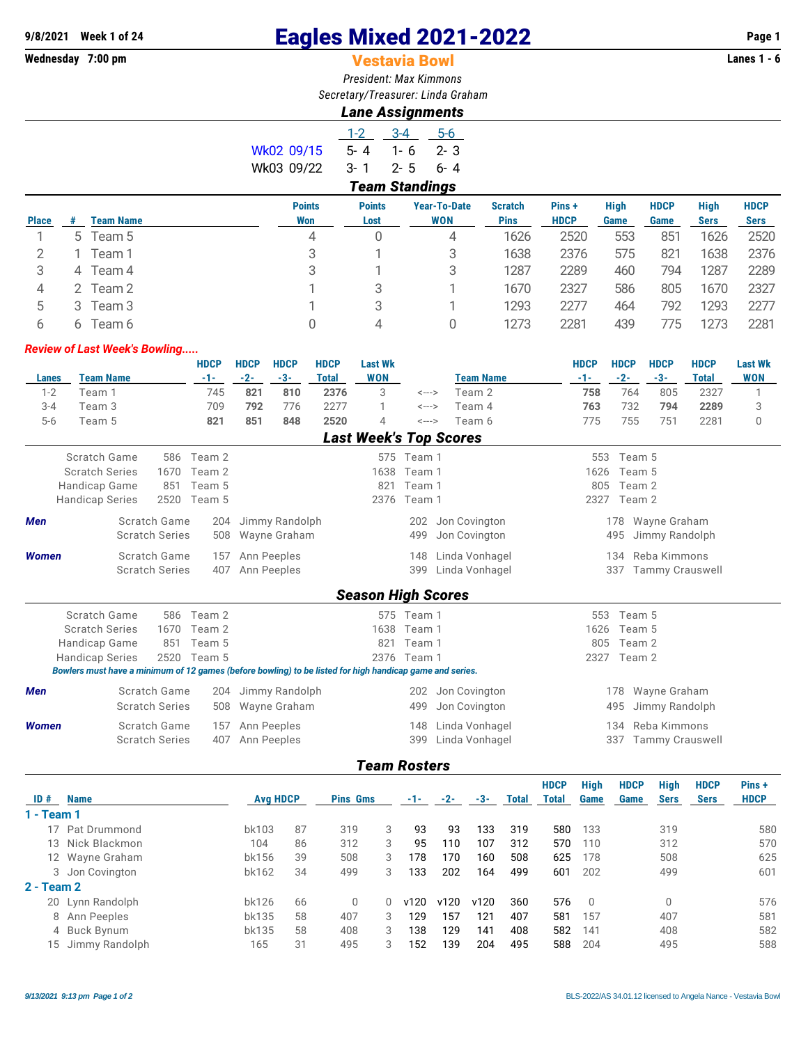# **9/8/2021 Week 1 of 24 Eagles Mixed 2021-2022 Page 1**

 $\sim$ 

## **Vestavia Bowl**

*President: Max Kimmons Secretary/Treasurer: Linda Graham*

| cietaly/Treasurer. Linua Gia |                  |  |
|------------------------------|------------------|--|
|                              | Lane Assignments |  |

|              |   |                  |               | $1 - 2$         | $3 - 4$               | $5-6$               |                |  |
|--------------|---|------------------|---------------|-----------------|-----------------------|---------------------|----------------|--|
|              |   |                  | Wk02 09/15    | 5-4             | $1 - 6$               | $2 - 3$             |                |  |
|              |   |                  | Wk03 09/22    | $3 - 1$ $2 - 5$ |                       | $6 - 4$             |                |  |
|              |   |                  |               |                 | <b>Team Standings</b> |                     |                |  |
|              |   |                  | <b>Points</b> | <b>Points</b>   |                       | <b>Year-To-Date</b> | <b>Scratch</b> |  |
| <b>lace</b>  | # | <b>Team Name</b> | <b>Won</b>    | Lost            |                       | <b>WON</b>          | <b>Pins</b>    |  |
| $\mathbf{1}$ |   | 5 Team 5         | 4             |                 |                       | 4                   | 1626           |  |
| 2            |   | Team 1           |               |                 |                       |                     | 1638           |  |

|              |   |                  | <b>Points</b> | <b>Points</b> | <b>Year-To-Date</b> | <b>Scratch</b> | Pins+       | <b>High</b> | <b>HDCP</b> | High        | <b>HDCP</b> |
|--------------|---|------------------|---------------|---------------|---------------------|----------------|-------------|-------------|-------------|-------------|-------------|
| <b>Place</b> |   | <b>Team Name</b> | Won           | Lost          | <b>WON</b>          | <b>Pins</b>    | <b>HDCP</b> | Game        | Game        | <b>Sers</b> | Sers        |
|              |   | 5 Team 5         | 4             |               | 4                   | 1626           | 2520        | 553         | 851         | 1626        | 2520        |
|              |   | Feam 1           |               |               | 3                   | 1638           | 2376        | 575         | 821         | 1638        | 2376        |
|              | 4 | Team 4           |               |               | 3                   | 1287           | 2289        | 460         | 794         | 1287        | 2289        |
|              |   | Team 2           |               |               |                     | 1670           | 2327        | 586         | 805         | 1670        | 2327        |
|              |   | Team 3           |               |               |                     | 1293           | 2277        | 464         | 792         | 1293        | 2277        |
|              |   | Геат 6           |               | 4             |                     | 1273           | 2281        | 439         | 775         | 1273        | 2281        |

#### *Review of Last Week's Bowling.....*

|                       |                                                                                                          |                       |      | <b>HDCP</b> | <b>HDCP</b>  | <b>HDCP</b>    | <b>HDCP</b>  | <b>Last Wk</b>            |                            |                               | <b>HDCP</b>           | <b>HDCP</b> | <b>HDCP</b>            | <b>HDCP</b>  | <b>Last Wk</b> |  |
|-----------------------|----------------------------------------------------------------------------------------------------------|-----------------------|------|-------------|--------------|----------------|--------------|---------------------------|----------------------------|-------------------------------|-----------------------|-------------|------------------------|--------------|----------------|--|
| Lanes                 | <b>Team Name</b>                                                                                         |                       |      | $-1-$       | $-2-$        | $-3-$          | <b>Total</b> | <b>WON</b>                |                            | <b>Team Name</b>              | $-1-$                 | $-2-$       | $-3-$                  | <b>Total</b> | <b>WON</b>     |  |
| $1 - 2$               | Team 1                                                                                                   |                       |      | 745         | 821          | 810            | 2376         | 3                         | $\leftarrow$ $\rightarrow$ | Team 2                        | 758                   | 764         | 805                    | 2327         | 1              |  |
| $3 - 4$               | Team 3                                                                                                   |                       |      | 709         | 792          | 776            | 2277         |                           | <--->                      | Team 4                        | 763                   | 732         | 794                    | 2289         | 3              |  |
| $5-6$                 | Team 5                                                                                                   |                       |      | 821         | 851          | 848            | 2520         | 4                         | <--->                      | Team 6                        | 775                   | 755         | 751                    | 2281         | 0              |  |
|                       |                                                                                                          |                       |      |             |              |                |              |                           |                            | <b>Last Week's Top Scores</b> |                       |             |                        |              |                |  |
|                       | Scratch Game                                                                                             |                       | 586  | Team 2      |              |                |              |                           | 575 Team 1                 |                               | 553                   | Team 5      |                        |              |                |  |
|                       | <b>Scratch Series</b>                                                                                    |                       | 1670 | Team 2      |              |                |              | 1638                      | Team 1                     |                               | 1626                  | Team 5      |                        |              |                |  |
|                       | <b>Handicap Game</b>                                                                                     |                       | 851  | Team 5      |              |                |              | 821                       | Team 1                     |                               | 805                   | Team 2      |                        |              |                |  |
|                       | <b>Handicap Series</b>                                                                                   |                       | 2520 | Team 5      |              |                |              |                           | 2376 Team 1                |                               |                       | 2327 Team 2 |                        |              |                |  |
| <b>Men</b>            |                                                                                                          | Scratch Game          |      | 204         |              | Jimmy Randolph |              |                           | 202                        | Jon Covington                 |                       |             | 178 Wayne Graham       |              |                |  |
| <b>Scratch Series</b> |                                                                                                          |                       | 508  |             | Wayne Graham |                |              | 499                       | Jon Covington              |                               | 495<br>Jimmy Randolph |             |                        |              |                |  |
| Women                 |                                                                                                          | Scratch Game          |      | 157         |              | Ann Peeples    |              |                           | 148                        | Linda Vonhagel                |                       | 134         | Reba Kimmons           |              |                |  |
|                       |                                                                                                          | <b>Scratch Series</b> |      | 407         |              | Ann Peeples    |              |                           | 399                        | Linda Vonhagel                |                       | 337         | <b>Tammy Crauswell</b> |              |                |  |
|                       |                                                                                                          |                       |      |             |              |                |              | <b>Season High Scores</b> |                            |                               |                       |             |                        |              |                |  |
|                       | Scratch Game                                                                                             |                       | 586  | Team 2      |              |                |              |                           | 575 Team 1                 |                               | 553                   | Team 5      |                        |              |                |  |
|                       | <b>Scratch Series</b>                                                                                    |                       | 1670 | Team 2      |              |                |              | 1638                      | Team 1                     |                               | 1626                  | Team 5      |                        |              |                |  |
|                       | <b>Handicap Game</b>                                                                                     |                       | 851  | Team 5      |              |                |              | 821                       | Team 1                     |                               | 805                   | Team 2      |                        |              |                |  |
|                       | <b>Handicap Series</b>                                                                                   |                       |      | 2520 Team 5 |              |                |              |                           | 2376 Team 1                |                               |                       | 2327 Team 2 |                        |              |                |  |
|                       | Bowlers must have a minimum of 12 games (before bowling) to be listed for high handicap game and series. |                       |      |             |              |                |              |                           |                            |                               |                       |             |                        |              |                |  |
| <b>Men</b>            |                                                                                                          | Scratch Game          |      | 204         |              | Jimmy Randolph |              |                           | 202                        | Jon Covington                 |                       | 178         | Wayne Graham           |              |                |  |
|                       |                                                                                                          | <b>Scratch Series</b> |      | 508         |              | Wayne Graham   |              |                           | 499                        | Jon Covington                 |                       | 495         | Jimmy Randolph         |              |                |  |
| <b>Women</b>          |                                                                                                          | Scratch Game          |      | 157         |              | Ann Peeples    |              |                           | 148                        | Linda Vonhagel                |                       | 134         | Reba Kimmons           |              |                |  |
|                       |                                                                                                          | <b>Scratch Series</b> |      | 407         |              | Ann Peeples    |              |                           | 399                        | Linda Vonhagel                |                       | 337         | <b>Tammy Crauswell</b> |              |                |  |

#### *Team Rosters*

| ID#        | <b>Name</b>      | <b>Avg HDCP</b> |    | <b>Pins Gms</b> |   | $-1-$ | $-2-$ | -3-  | <b>Total</b> | <b>HDCP</b><br>Total | <b>High</b><br>Game | <b>HDCP</b><br>Game | <b>High</b><br><b>Sers</b> | <b>HDCP</b><br><b>Sers</b> | Pins +<br><b>HDCP</b> |
|------------|------------------|-----------------|----|-----------------|---|-------|-------|------|--------------|----------------------|---------------------|---------------------|----------------------------|----------------------------|-----------------------|
| 1 - Team 1 |                  |                 |    |                 |   |       |       |      |              |                      |                     |                     |                            |                            |                       |
|            | Pat Drummond     | bk103           | 87 | 319             | 3 | 93    | 93    | 133  | 319          | 580                  | 133                 |                     | 319                        |                            | 580                   |
|            | 13 Nick Blackmon | 104             | 86 | 312             | 3 | 95    | 110   | 107  | 312          | 570                  | 110                 |                     | 312                        |                            | 570                   |
|            | 12 Wayne Graham  | bk156           | 39 | 508             | 3 | 178   | 170   | 160  | 508          | 625                  | 178                 |                     | 508                        |                            | 625                   |
|            | 3 Jon Covington  | bk162           | 34 | 499             | 3 | 133   | 202   | 164  | 499          | 601                  | 202                 |                     | 499                        |                            | 601                   |
| 2 - Team 2 |                  |                 |    |                 |   |       |       |      |              |                      |                     |                     |                            |                            |                       |
|            | 20 Lynn Randolph | bk126           | 66 | $\Omega$        | 0 | v120  | v120  | v120 | 360          | 576                  | - 0                 |                     | $\mathbf{0}$               |                            | 576                   |
|            | 8 Ann Peeples    | bk135           | 58 | 407             | 3 | 129   | 157   | 121  | 407          | 581                  | 157                 |                     | 407                        |                            | 581                   |
|            | 4 Buck Bynum     | bk135           | 58 | 408             | 3 | 138   | 129   | 141  | 408          | 582                  | 141                 |                     | 408                        |                            | 582                   |
| 15         | Jimmy Randolph   | 165             | 31 | 495             | 3 | 152   | 139   | 204  | 495          | 588                  | 204                 |                     | 495                        |                            | 588                   |
|            |                  |                 |    |                 |   |       |       |      |              |                      |                     |                     |                            |                            |                       |